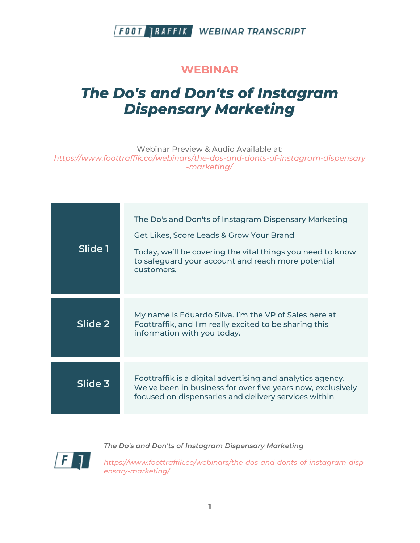#### **WEBINAR**

# *The Do's and Don'ts of Instagram Dispensary Marketing*

Webinar Preview & Audio Available at: *https://www.foottraffik.co/webinars/the-dos-and-donts-of-instagram-dispensary -marketing/*

| Slide 1 | The Do's and Don'ts of Instagram Dispensary Marketing<br>Get Likes, Score Leads & Grow Your Brand<br>Today, we'll be covering the vital things you need to know<br>to safeguard your account and reach more potential<br>customers. |
|---------|-------------------------------------------------------------------------------------------------------------------------------------------------------------------------------------------------------------------------------------|
| Slide 2 | My name is Eduardo Silva. I'm the VP of Sales here at<br>Foottraffik, and I'm really excited to be sharing this<br>information with you today.                                                                                      |
| Slide 3 | Foottraffik is a digital advertising and analytics agency.<br>We've been in business for over five years now, exclusively<br>focused on dispensaries and delivery services within                                                   |

F

*The Do's and Don'ts of Instagram Dispensary Marketing*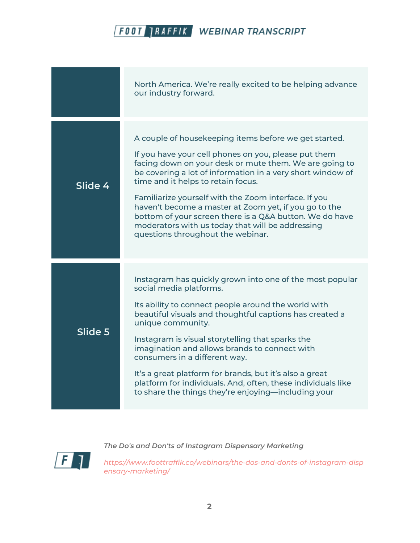|         | North America. We're really excited to be helping advance<br>our industry forward.                                                                                                                                                                                                                                                                                                                                                                                                                                                                 |
|---------|----------------------------------------------------------------------------------------------------------------------------------------------------------------------------------------------------------------------------------------------------------------------------------------------------------------------------------------------------------------------------------------------------------------------------------------------------------------------------------------------------------------------------------------------------|
| Slide 4 | A couple of housekeeping items before we get started.<br>If you have your cell phones on you, please put them<br>facing down on your desk or mute them. We are going to<br>be covering a lot of information in a very short window of<br>time and it helps to retain focus.<br>Familiarize yourself with the Zoom interface. If you<br>haven't become a master at Zoom yet, if you go to the<br>bottom of your screen there is a Q&A button. We do have<br>moderators with us today that will be addressing<br>questions throughout the webinar.   |
| Slide 5 | Instagram has quickly grown into one of the most popular<br>social media platforms.<br>Its ability to connect people around the world with<br>beautiful visuals and thoughtful captions has created a<br>unique community.<br>Instagram is visual storytelling that sparks the<br>imagination and allows brands to connect with<br>consumers in a different way.<br>It's a great platform for brands, but it's also a great<br>platform for individuals. And, often, these individuals like<br>to share the things they're enjoying—including your |

 $\sqrt{F}$ 

*The Do's and Don'ts of Instagram Dispensary Marketing*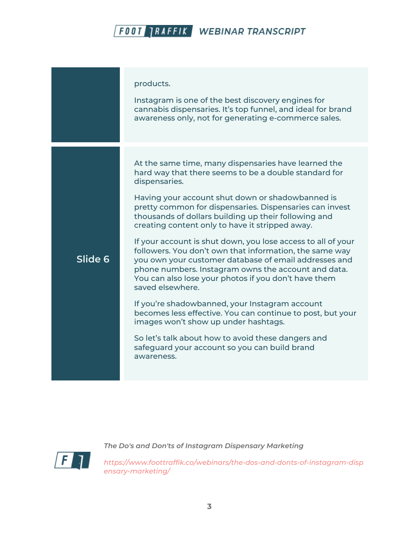|         | products.<br>Instagram is one of the best discovery engines for<br>cannabis dispensaries. It's top funnel, and ideal for brand<br>awareness only, not for generating e-commerce sales.                                                                                                                                                                                                                                                                                                                                                                                                                                                                                                                                                                                                                                                                                                                                                                       |
|---------|--------------------------------------------------------------------------------------------------------------------------------------------------------------------------------------------------------------------------------------------------------------------------------------------------------------------------------------------------------------------------------------------------------------------------------------------------------------------------------------------------------------------------------------------------------------------------------------------------------------------------------------------------------------------------------------------------------------------------------------------------------------------------------------------------------------------------------------------------------------------------------------------------------------------------------------------------------------|
| Slide 6 | At the same time, many dispensaries have learned the<br>hard way that there seems to be a double standard for<br>dispensaries.<br>Having your account shut down or shadowbanned is<br>pretty common for dispensaries. Dispensaries can invest<br>thousands of dollars building up their following and<br>creating content only to have it stripped away.<br>If your account is shut down, you lose access to all of your<br>followers. You don't own that information, the same way<br>you own your customer database of email addresses and<br>phone numbers. Instagram owns the account and data.<br>You can also lose your photos if you don't have them<br>saved elsewhere.<br>If you're shadowbanned, your Instagram account<br>becomes less effective. You can continue to post, but your<br>images won't show up under hashtags.<br>So let's talk about how to avoid these dangers and<br>safeguard your account so you can build brand<br>awareness. |



*The Do's and Don'ts of Instagram Dispensary Marketing*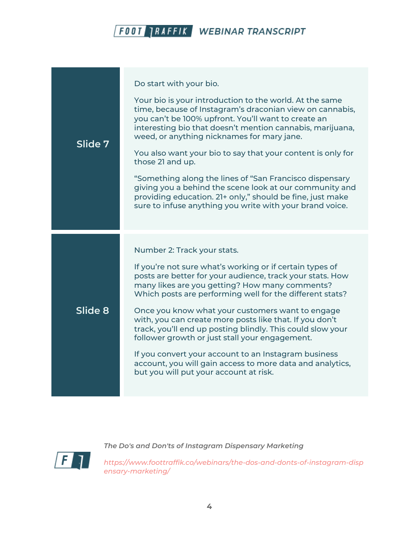| Slide 7 | Do start with your bio.<br>Your bio is your introduction to the world. At the same<br>time, because of Instagram's draconian view on cannabis,<br>you can't be 100% upfront. You'll want to create an<br>interesting bio that doesn't mention cannabis, marijuana,<br>weed, or anything nicknames for mary jane.<br>You also want your bio to say that your content is only for<br>those 21 and up.<br>"Something along the lines of "San Francisco dispensary<br>giving you a behind the scene look at our community and<br>providing education. 21+ only," should be fine, just make<br>sure to infuse anything you write with your brand voice.               |
|---------|------------------------------------------------------------------------------------------------------------------------------------------------------------------------------------------------------------------------------------------------------------------------------------------------------------------------------------------------------------------------------------------------------------------------------------------------------------------------------------------------------------------------------------------------------------------------------------------------------------------------------------------------------------------|
| Slide 8 | Number 2: Track your stats.<br>If you're not sure what's working or if certain types of<br>posts are better for your audience, track your stats. How<br>many likes are you getting? How many comments?<br>Which posts are performing well for the different stats?<br>Once you know what your customers want to engage<br>with, you can create more posts like that. If you don't<br>track, you'll end up posting blindly. This could slow your<br>follower growth or just stall your engagement.<br>If you convert your account to an Instagram business<br>account, you will gain access to more data and analytics,<br>but you will put your account at risk. |



*The Do's and Don'ts of Instagram Dispensary Marketing*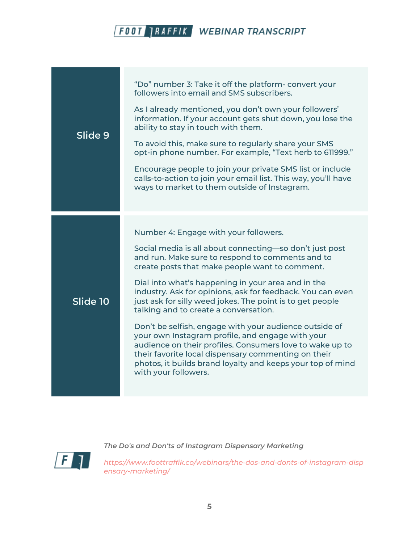| Slide 9  | "Do" number 3: Take it off the platform- convert your<br>followers into email and SMS subscribers.<br>As I already mentioned, you don't own your followers'<br>information. If your account gets shut down, you lose the<br>ability to stay in touch with them.<br>To avoid this, make sure to regularly share your SMS<br>opt-in phone number. For example, "Text herb to 611999."<br>Encourage people to join your private SMS list or include<br>calls-to-action to join your email list. This way, you'll have<br>ways to market to them outside of Instagram.                                                                                                                                                                                      |
|----------|---------------------------------------------------------------------------------------------------------------------------------------------------------------------------------------------------------------------------------------------------------------------------------------------------------------------------------------------------------------------------------------------------------------------------------------------------------------------------------------------------------------------------------------------------------------------------------------------------------------------------------------------------------------------------------------------------------------------------------------------------------|
| Slide 10 | Number 4: Engage with your followers.<br>Social media is all about connecting-so don't just post<br>and run. Make sure to respond to comments and to<br>create posts that make people want to comment.<br>Dial into what's happening in your area and in the<br>industry. Ask for opinions, ask for feedback. You can even<br>just ask for silly weed jokes. The point is to get people<br>talking and to create a conversation.<br>Don't be selfish, engage with your audience outside of<br>your own Instagram profile, and engage with your<br>audience on their profiles. Consumers love to wake up to<br>their favorite local dispensary commenting on their<br>photos, it builds brand loyalty and keeps your top of mind<br>with your followers. |



*The Do's and Don'ts of Instagram Dispensary Marketing*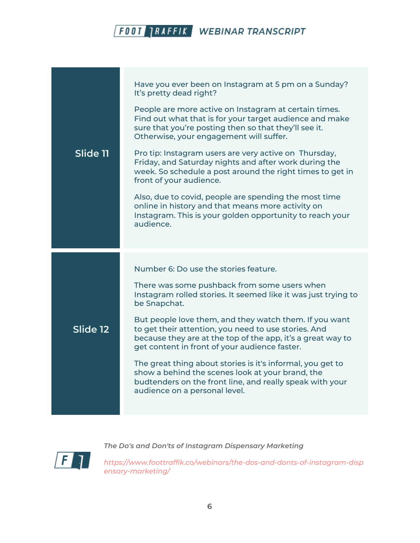| Slide 11 | Have you ever been on Instagram at 5 pm on a Sunday?<br>It's pretty dead right?<br>People are more active on Instagram at certain times.<br>Find out what that is for your target audience and make<br>sure that you're posting then so that they'll see it.<br>Otherwise, your engagement will suffer.                                                                                       |
|----------|-----------------------------------------------------------------------------------------------------------------------------------------------------------------------------------------------------------------------------------------------------------------------------------------------------------------------------------------------------------------------------------------------|
|          | Pro tip: Instagram users are very active on Thursday,<br>Friday, and Saturday nights and after work during the<br>week. So schedule a post around the right times to get in<br>front of your audience.<br>Also, due to covid, people are spending the most time<br>online in history and that means more activity on<br>Instagram. This is your golden opportunity to reach your<br>audience. |
|          |                                                                                                                                                                                                                                                                                                                                                                                               |
|          | Number 6: Do use the stories feature.                                                                                                                                                                                                                                                                                                                                                         |
|          | There was some pushback from some users when<br>Instagram rolled stories. It seemed like it was just trying to<br>be Snapchat.                                                                                                                                                                                                                                                                |
| Slide 12 | But people love them, and they watch them. If you want<br>to get their attention, you need to use stories. And<br>because they are at the top of the app, it's a great way to<br>get content in front of your audience faster.                                                                                                                                                                |
|          | The great thing about stories is it's informal, you get to<br>show a behind the scenes look at your brand, the<br>budtenders on the front line, and really speak with your<br>audience on a personal level.                                                                                                                                                                                   |
|          |                                                                                                                                                                                                                                                                                                                                                                                               |



*The Do's and Don'ts of Instagram Dispensary Marketing*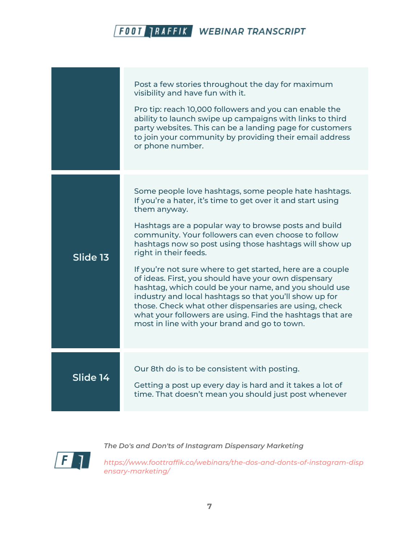|          | Post a few stories throughout the day for maximum<br>visibility and have fun with it.<br>Pro tip: reach 10,000 followers and you can enable the<br>ability to launch swipe up campaigns with links to third<br>party websites. This can be a landing page for customers<br>to join your community by providing their email address<br>or phone number.                                                                                                                                                                                                                                                                                                                                                                                                |
|----------|-------------------------------------------------------------------------------------------------------------------------------------------------------------------------------------------------------------------------------------------------------------------------------------------------------------------------------------------------------------------------------------------------------------------------------------------------------------------------------------------------------------------------------------------------------------------------------------------------------------------------------------------------------------------------------------------------------------------------------------------------------|
| Slide 13 | Some people love hashtags, some people hate hashtags.<br>If you're a hater, it's time to get over it and start using<br>them anyway.<br>Hashtags are a popular way to browse posts and build<br>community. Your followers can even choose to follow<br>hashtags now so post using those hashtags will show up<br>right in their feeds.<br>If you're not sure where to get started, here are a couple<br>of ideas. First, you should have your own dispensary<br>hashtag, which could be your name, and you should use<br>industry and local hashtags so that you'll show up for<br>those. Check what other dispensaries are using, check<br>what your followers are using. Find the hashtags that are<br>most in line with your brand and go to town. |
| Slide 14 | Our 8th do is to be consistent with posting.<br>Getting a post up every day is hard and it takes a lot of<br>time. That doesn't mean you should just post whenever                                                                                                                                                                                                                                                                                                                                                                                                                                                                                                                                                                                    |

 $\mid$  F  $\mid$ 

*The Do's and Don'ts of Instagram Dispensary Marketing*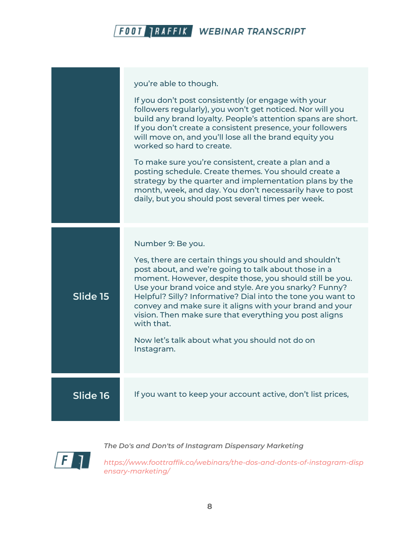|          | you're able to though.<br>If you don't post consistently (or engage with your<br>followers regularly), you won't get noticed. Nor will you<br>build any brand loyalty. People's attention spans are short.<br>If you don't create a consistent presence, your followers<br>will move on, and you'll lose all the brand equity you<br>worked so hard to create.<br>To make sure you're consistent, create a plan and a<br>posting schedule. Create themes. You should create a<br>strategy by the quarter and implementation plans by the<br>month, week, and day. You don't necessarily have to post<br>daily, but you should post several times per week. |
|----------|------------------------------------------------------------------------------------------------------------------------------------------------------------------------------------------------------------------------------------------------------------------------------------------------------------------------------------------------------------------------------------------------------------------------------------------------------------------------------------------------------------------------------------------------------------------------------------------------------------------------------------------------------------|
| Slide 15 | Number 9: Be you.<br>Yes, there are certain things you should and shouldn't<br>post about, and we're going to talk about those in a<br>moment. However, despite those, you should still be you.<br>Use your brand voice and style. Are you snarky? Funny?<br>Helpful? Silly? Informative? Dial into the tone you want to<br>convey and make sure it aligns with your brand and your<br>vision. Then make sure that everything you post aligns<br>with that.<br>Now let's talk about what you should not do on<br>Instagram.                                                                                                                                |
| Slide 16 | If you want to keep your account active, don't list prices,                                                                                                                                                                                                                                                                                                                                                                                                                                                                                                                                                                                                |

| F

*The Do's and Don'ts of Instagram Dispensary Marketing*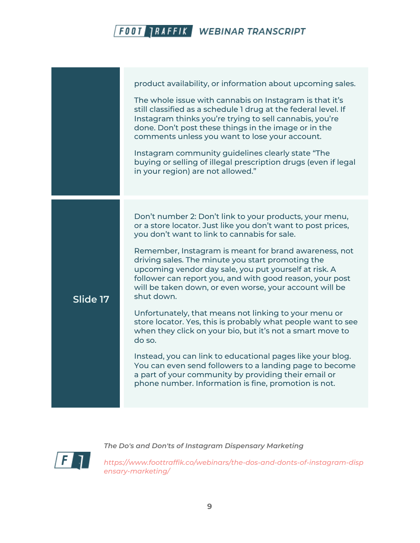|          | product availability, or information about upcoming sales.<br>The whole issue with cannabis on Instagram is that it's<br>still classified as a schedule 1 drug at the federal level. If<br>Instagram thinks you're trying to sell cannabis, you're<br>done. Don't post these things in the image or in the<br>comments unless you want to lose your account.<br>Instagram community guidelines clearly state "The<br>buying or selling of illegal prescription drugs (even if legal<br>in your region) are not allowed."                                                                                                                                                                                                                                                                                                                                                                                                     |
|----------|------------------------------------------------------------------------------------------------------------------------------------------------------------------------------------------------------------------------------------------------------------------------------------------------------------------------------------------------------------------------------------------------------------------------------------------------------------------------------------------------------------------------------------------------------------------------------------------------------------------------------------------------------------------------------------------------------------------------------------------------------------------------------------------------------------------------------------------------------------------------------------------------------------------------------|
| Slide 17 | Don't number 2: Don't link to your products, your menu,<br>or a store locator. Just like you don't want to post prices,<br>you don't want to link to cannabis for sale.<br>Remember, Instagram is meant for brand awareness, not<br>driving sales. The minute you start promoting the<br>upcoming vendor day sale, you put yourself at risk. A<br>follower can report you, and with good reason, your post<br>will be taken down, or even worse, your account will be<br>shut down.<br>Unfortunately, that means not linking to your menu or<br>store locator. Yes, this is probably what people want to see<br>when they click on your bio, but it's not a smart move to<br>do so.<br>Instead, you can link to educational pages like your blog.<br>You can even send followers to a landing page to become<br>a part of your community by providing their email or<br>phone number. Information is fine, promotion is not. |



*The Do's and Don'ts of Instagram Dispensary Marketing*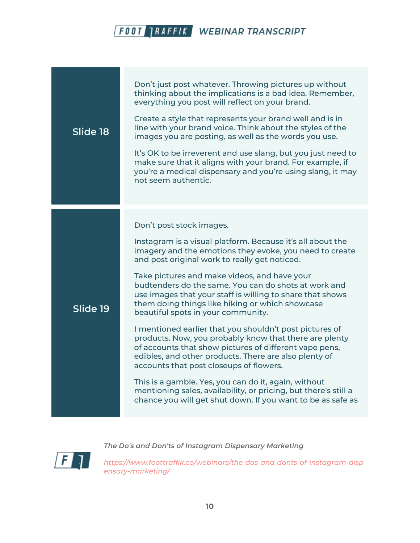| Slide 18 | Don't just post whatever. Throwing pictures up without<br>thinking about the implications is a bad idea. Remember,<br>everything you post will reflect on your brand.<br>Create a style that represents your brand well and is in<br>line with your brand voice. Think about the styles of the<br>images you are posting, as well as the words you use.<br>It's OK to be irreverent and use slang, but you just need to<br>make sure that it aligns with your brand. For example, if<br>you're a medical dispensary and you're using slang, it may<br>not seem authentic.                                                                                                                                                                                                                                                                                                                                                                     |
|----------|-----------------------------------------------------------------------------------------------------------------------------------------------------------------------------------------------------------------------------------------------------------------------------------------------------------------------------------------------------------------------------------------------------------------------------------------------------------------------------------------------------------------------------------------------------------------------------------------------------------------------------------------------------------------------------------------------------------------------------------------------------------------------------------------------------------------------------------------------------------------------------------------------------------------------------------------------|
| Slide 19 | Don't post stock images.<br>Instagram is a visual platform. Because it's all about the<br>imagery and the emotions they evoke, you need to create<br>and post original work to really get noticed.<br>Take pictures and make videos, and have your<br>budtenders do the same. You can do shots at work and<br>use images that your staff is willing to share that shows<br>them doing things like hiking or which showcase<br>beautiful spots in your community.<br>I mentioned earlier that you shouldn't post pictures of<br>products. Now, you probably know that there are plenty<br>of accounts that show pictures of different vape pens,<br>edibles, and other products. There are also plenty of<br>accounts that post closeups of flowers.<br>This is a gamble. Yes, you can do it, again, without<br>mentioning sales, availability, or pricing, but there's still a<br>chance you will get shut down. If you want to be as safe as |

 $\sqrt{F}$ 

*The Do's and Don'ts of Instagram Dispensary Marketing*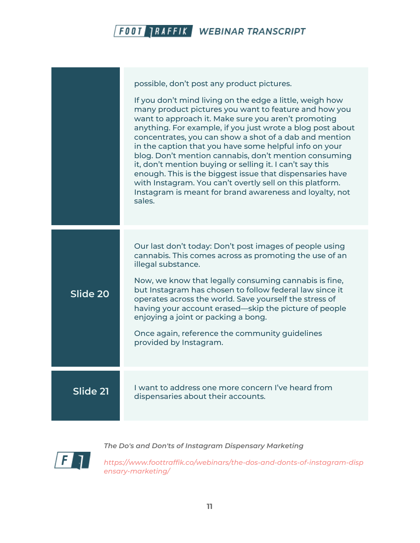

|          | possible, don't post any product pictures.<br>If you don't mind living on the edge a little, weigh how<br>many product pictures you want to feature and how you<br>want to approach it. Make sure you aren't promoting<br>anything. For example, if you just wrote a blog post about<br>concentrates, you can show a shot of a dab and mention                           |
|----------|--------------------------------------------------------------------------------------------------------------------------------------------------------------------------------------------------------------------------------------------------------------------------------------------------------------------------------------------------------------------------|
|          | in the caption that you have some helpful info on your<br>blog. Don't mention cannabis, don't mention consuming<br>it, don't mention buying or selling it. I can't say this<br>enough. This is the biggest issue that dispensaries have<br>with Instagram. You can't overtly sell on this platform.<br>Instagram is meant for brand awareness and loyalty, not<br>sales. |
|          | Our last don't today: Don't post images of people using<br>cannabis. This comes across as promoting the use of an                                                                                                                                                                                                                                                        |
| Slide 20 | illegal substance.<br>Now, we know that legally consuming cannabis is fine,<br>but Instagram has chosen to follow federal law since it<br>operates across the world. Save yourself the stress of<br>having your account erased—skip the picture of people<br>enjoying a joint or packing a bong.                                                                         |
|          | Once again, reference the community guidelines<br>provided by Instagram.                                                                                                                                                                                                                                                                                                 |
| Slide 21 | I want to address one more concern I've heard from<br>dispensaries about their accounts.                                                                                                                                                                                                                                                                                 |

 $\sqrt{F}$ 

*The Do's and Don'ts of Instagram Dispensary Marketing*